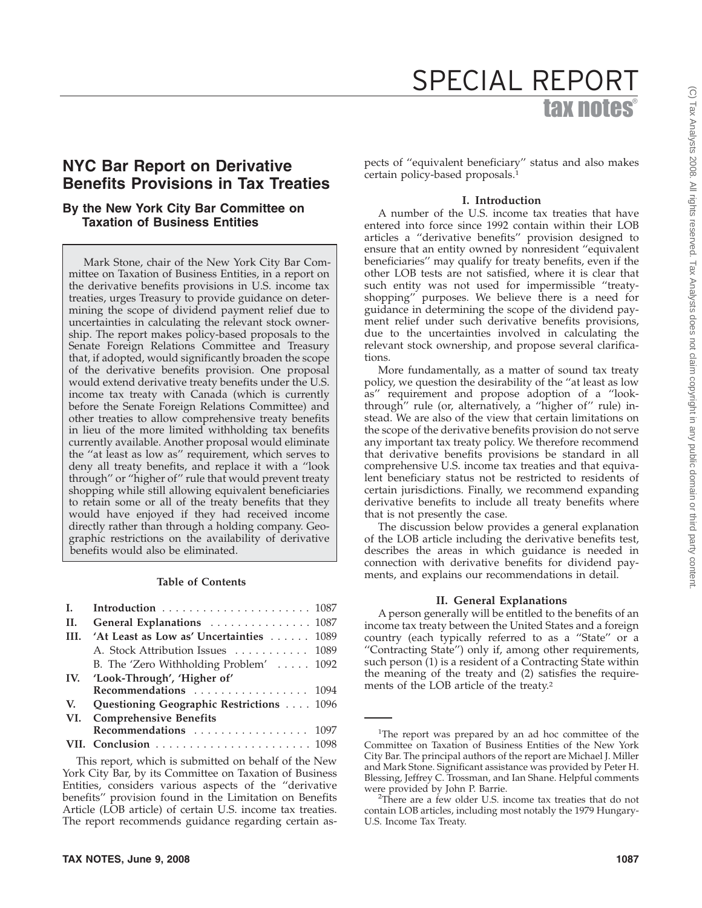# tax notes SPECIAL REPORT

# **NYC Bar Report on Derivative Benefits Provisions in Tax Treaties**

## **By the New York City Bar Committee on Taxation of Business Entities**

Mark Stone, chair of the New York City Bar Committee on Taxation of Business Entities, in a report on the derivative benefits provisions in U.S. income tax treaties, urges Treasury to provide guidance on determining the scope of dividend payment relief due to uncertainties in calculating the relevant stock ownership. The report makes policy-based proposals to the Senate Foreign Relations Committee and Treasury that, if adopted, would significantly broaden the scope of the derivative benefits provision. One proposal would extend derivative treaty benefits under the U.S. income tax treaty with Canada (which is currently before the Senate Foreign Relations Committee) and other treaties to allow comprehensive treaty benefits in lieu of the more limited withholding tax benefits currently available. Another proposal would eliminate the ''at least as low as'' requirement, which serves to deny all treaty benefits, and replace it with a ''look through'' or ''higher of'' rule that would prevent treaty shopping while still allowing equivalent beneficiaries to retain some or all of the treaty benefits that they would have enjoyed if they had received income directly rather than through a holding company. Geographic restrictions on the availability of derivative benefits would also be eliminated.

#### **Table of Contents**

| $\mathbf{L}$ |                                                 |  |
|--------------|-------------------------------------------------|--|
| П.           | General Explanations  1087                      |  |
| III.         | 'At Least as Low as' Uncertainties 1089         |  |
|              | A. Stock Attribution Issues  1089               |  |
|              | B. The 'Zero Withholding Problem' $\ldots$ 1092 |  |
|              | IV. 'Look-Through', 'Higher of'                 |  |
|              | Recommendations 1094                            |  |
| V.           | Questioning Geographic Restrictions 1096        |  |
|              | VI. Comprehensive Benefits                      |  |
|              | Recommendations  1097                           |  |
|              |                                                 |  |
|              |                                                 |  |

This report, which is submitted on behalf of the New York City Bar, by its Committee on Taxation of Business Entities, considers various aspects of the ''derivative benefits'' provision found in the Limitation on Benefits Article (LOB article) of certain U.S. income tax treaties. The report recommends guidance regarding certain aspects of ''equivalent beneficiary'' status and also makes certain policy-based proposals.1

#### **I. Introduction**

A number of the U.S. income tax treaties that have entered into force since 1992 contain within their LOB articles a ''derivative benefits'' provision designed to ensure that an entity owned by nonresident ''equivalent beneficiaries'' may qualify for treaty benefits, even if the other LOB tests are not satisfied, where it is clear that such entity was not used for impermissible ''treatyshopping'' purposes. We believe there is a need for guidance in determining the scope of the dividend payment relief under such derivative benefits provisions, due to the uncertainties involved in calculating the relevant stock ownership, and propose several clarifications.

More fundamentally, as a matter of sound tax treaty policy, we question the desirability of the ''at least as low as'' requirement and propose adoption of a ''lookthrough'' rule (or, alternatively, a ''higher of'' rule) instead. We are also of the view that certain limitations on the scope of the derivative benefits provision do not serve any important tax treaty policy. We therefore recommend that derivative benefits provisions be standard in all comprehensive U.S. income tax treaties and that equivalent beneficiary status not be restricted to residents of certain jurisdictions. Finally, we recommend expanding derivative benefits to include all treaty benefits where that is not presently the case.

The discussion below provides a general explanation of the LOB article including the derivative benefits test, describes the areas in which guidance is needed in connection with derivative benefits for dividend payments, and explains our recommendations in detail.

#### **II. General Explanations**

A person generally will be entitled to the benefits of an income tax treaty between the United States and a foreign country (each typically referred to as a ''State'' or a ''Contracting State'') only if, among other requirements, such person (1) is a resident of a Contracting State within the meaning of the treaty and (2) satisfies the requirements of the LOB article of the treaty.2

<sup>&</sup>lt;sup>1</sup>The report was prepared by an ad hoc committee of the Committee on Taxation of Business Entities of the New York City Bar. The principal authors of the report are Michael J. Miller and Mark Stone. Significant assistance was provided by Peter H. Blessing, Jeffrey C. Trossman, and Ian Shane. Helpful comments were provided by John P. Barrie.

<sup>&</sup>lt;sup>2</sup>There are a few older U.S. income tax treaties that do not contain LOB articles, including most notably the 1979 Hungary-U.S. Income Tax Treaty.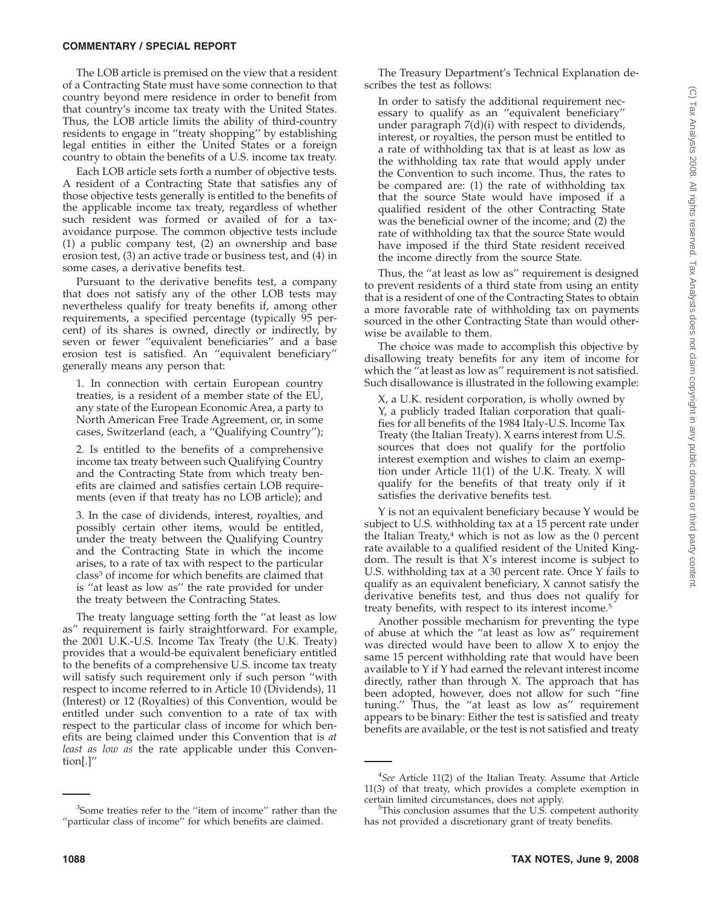The LOB article is premised on the view that a resident of a Contracting State must have some connection to that country beyond mere residence in order to benefit from that country's income tax treaty with the United States. Thus, the LOB article limits the ability of third-country residents to engage in ''treaty shopping'' by establishing legal entities in either the United States or a foreign country to obtain the benefits of a U.S. income tax treaty.

Each LOB article sets forth a number of objective tests. A resident of a Contracting State that satisfies any of those objective tests generally is entitled to the benefits of the applicable income tax treaty, regardless of whether such resident was formed or availed of for a taxavoidance purpose. The common objective tests include (1) a public company test, (2) an ownership and base erosion test, (3) an active trade or business test, and (4) in some cases, a derivative benefits test.

Pursuant to the derivative benefits test, a company that does not satisfy any of the other LOB tests may nevertheless qualify for treaty benefits if, among other requirements, a specified percentage (typically 95 percent) of its shares is owned, directly or indirectly, by seven or fewer ''equivalent beneficiaries'' and a base erosion test is satisfied. An ''equivalent beneficiary'' generally means any person that:

1. In connection with certain European country treaties, is a resident of a member state of the EU, any state of the European Economic Area, a party to North American Free Trade Agreement, or, in some cases, Switzerland (each, a ''Qualifying Country'');

2. Is entitled to the benefits of a comprehensive income tax treaty between such Qualifying Country and the Contracting State from which treaty benefits are claimed and satisfies certain LOB requirements (even if that treaty has no LOB article); and

3. In the case of dividends, interest, royalties, and possibly certain other items, would be entitled, under the treaty between the Qualifying Country and the Contracting State in which the income arises, to a rate of tax with respect to the particular class<sup>3</sup> of income for which benefits are claimed that is ''at least as low as'' the rate provided for under the treaty between the Contracting States.

The treaty language setting forth the ''at least as low as'' requirement is fairly straightforward. For example, the 2001 U.K.-U.S. Income Tax Treaty (the U.K. Treaty) provides that a would-be equivalent beneficiary entitled to the benefits of a comprehensive U.S. income tax treaty will satisfy such requirement only if such person ''with respect to income referred to in Article 10 (Dividends), 11 (Interest) or 12 (Royalties) of this Convention, would be entitled under such convention to a rate of tax with respect to the particular class of income for which benefits are being claimed under this Convention that is *at least as low as* the rate applicable under this Convention[.]''

The Treasury Department's Technical Explanation describes the test as follows:

In order to satisfy the additional requirement necessary to qualify as an ''equivalent beneficiary'' under paragraph 7(d)(i) with respect to dividends, interest, or royalties, the person must be entitled to a rate of withholding tax that is at least as low as the withholding tax rate that would apply under the Convention to such income. Thus, the rates to be compared are: (1) the rate of withholding tax that the source State would have imposed if a qualified resident of the other Contracting State was the beneficial owner of the income; and (2) the rate of withholding tax that the source State would have imposed if the third State resident received the income directly from the source State.

Thus, the ''at least as low as'' requirement is designed to prevent residents of a third state from using an entity that is a resident of one of the Contracting States to obtain a more favorable rate of withholding tax on payments sourced in the other Contracting State than would otherwise be available to them.

The choice was made to accomplish this objective by disallowing treaty benefits for any item of income for which the "at least as low as" requirement is not satisfied. Such disallowance is illustrated in the following example:

X, a U.K. resident corporation, is wholly owned by Y, a publicly traded Italian corporation that qualifies for all benefits of the 1984 Italy-U.S. Income Tax Treaty (the Italian Treaty). X earns interest from U.S. sources that does not qualify for the portfolio interest exemption and wishes to claim an exemption under Article 11(1) of the U.K. Treaty. X will qualify for the benefits of that treaty only if it satisfies the derivative benefits test.

Y is not an equivalent beneficiary because Y would be subject to U.S. withholding tax at a 15 percent rate under the Italian Treaty, $4$  which is not as low as the 0 percent rate available to a qualified resident of the United Kingdom. The result is that X's interest income is subject to U.S. withholding tax at a 30 percent rate. Once Y fails to qualify as an equivalent beneficiary, X cannot satisfy the derivative benefits test, and thus does not qualify for treaty benefits, with respect to its interest income.5

Another possible mechanism for preventing the type of abuse at which the ''at least as low as'' requirement was directed would have been to allow  $X$  to enjoy the same 15 percent withholding rate that would have been available to Y if Y had earned the relevant interest income directly, rather than through X. The approach that has been adopted, however, does not allow for such ''fine tuning.'' Thus, the ''at least as low as'' requirement appears to be binary: Either the test is satisfied and treaty benefits are available, or the test is not satisfied and treaty

<sup>&</sup>lt;sup>3</sup>Some treaties refer to the "item of income" rather than the "particular class of income" for which benefits are claimed.

<sup>4</sup> *See* Article 11(2) of the Italian Treaty. Assume that Article 11(3) of that treaty, which provides a complete exemption in certain limited circumstances, does not apply. <sup>5</sup>

<sup>&</sup>lt;sup>5</sup>This conclusion assumes that the U.S. competent authority has not provided a discretionary grant of treaty benefits.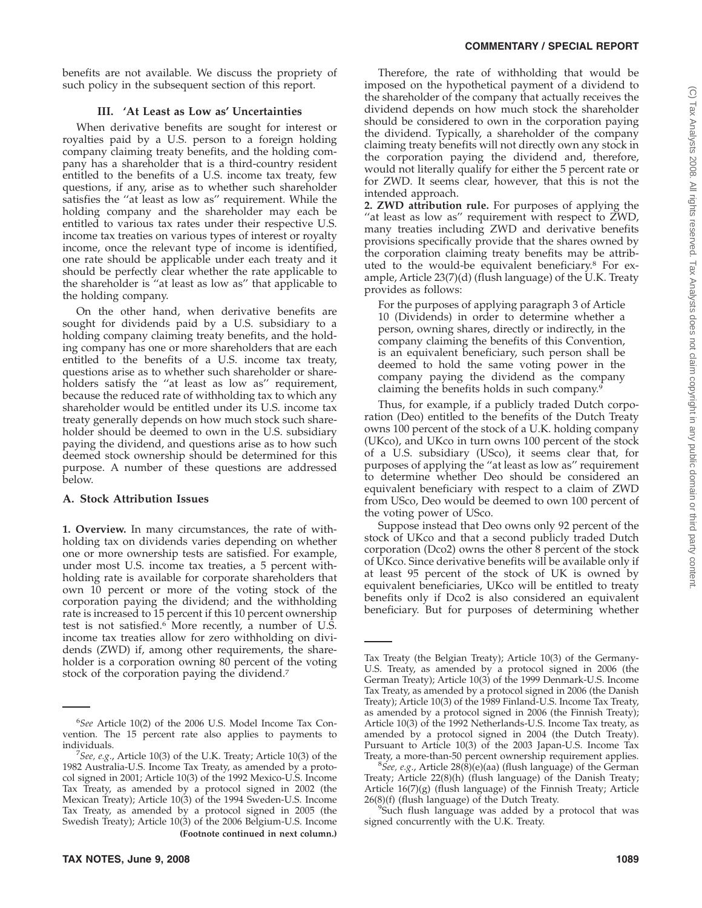benefits are not available. We discuss the propriety of such policy in the subsequent section of this report.

# **III. 'At Least as Low as' Uncertainties**

When derivative benefits are sought for interest or royalties paid by a U.S. person to a foreign holding company claiming treaty benefits, and the holding company has a shareholder that is a third-country resident entitled to the benefits of a U.S. income tax treaty, few questions, if any, arise as to whether such shareholder satisfies the ''at least as low as'' requirement. While the holding company and the shareholder may each be entitled to various tax rates under their respective U.S. income tax treaties on various types of interest or royalty income, once the relevant type of income is identified, one rate should be applicable under each treaty and it should be perfectly clear whether the rate applicable to the shareholder is ''at least as low as'' that applicable to the holding company.

On the other hand, when derivative benefits are sought for dividends paid by a U.S. subsidiary to a holding company claiming treaty benefits, and the holding company has one or more shareholders that are each entitled to the benefits of a U.S. income tax treaty, questions arise as to whether such shareholder or shareholders satisfy the "at least as low as" requirement, because the reduced rate of withholding tax to which any shareholder would be entitled under its U.S. income tax treaty generally depends on how much stock such shareholder should be deemed to own in the U.S. subsidiary paying the dividend, and questions arise as to how such deemed stock ownership should be determined for this purpose. A number of these questions are addressed below.

# **A. Stock Attribution Issues**

**1. Overview.** In many circumstances, the rate of withholding tax on dividends varies depending on whether one or more ownership tests are satisfied. For example, under most U.S. income tax treaties, a 5 percent withholding rate is available for corporate shareholders that own 10 percent or more of the voting stock of the corporation paying the dividend; and the withholding rate is increased to 15 percent if this 10 percent ownership test is not satisfied.6 More recently, a number of U.S. income tax treaties allow for zero withholding on dividends (ZWD) if, among other requirements, the shareholder is a corporation owning 80 percent of the voting stock of the corporation paying the dividend.7

Therefore, the rate of withholding that would be imposed on the hypothetical payment of a dividend to the shareholder of the company that actually receives the dividend depends on how much stock the shareholder should be considered to own in the corporation paying the dividend. Typically, a shareholder of the company claiming treaty benefits will not directly own any stock in the corporation paying the dividend and, therefore, would not literally qualify for either the 5 percent rate or for ZWD. It seems clear, however, that this is not the intended approach.

**2. ZWD attribution rule.** For purposes of applying the "at least as low as" requirement with respect to ZWD, many treaties including ZWD and derivative benefits provisions specifically provide that the shares owned by the corporation claiming treaty benefits may be attributed to the would-be equivalent beneficiary.8 For example, Article 23(7)(d) (flush language) of the U.K. Treaty provides as follows:

For the purposes of applying paragraph 3 of Article 10 (Dividends) in order to determine whether a person, owning shares, directly or indirectly, in the company claiming the benefits of this Convention, is an equivalent beneficiary, such person shall be deemed to hold the same voting power in the company paying the dividend as the company claiming the benefits holds in such company.9

Thus, for example, if a publicly traded Dutch corporation (Deo) entitled to the benefits of the Dutch Treaty owns 100 percent of the stock of a U.K. holding company (UKco), and UKco in turn owns 100 percent of the stock of a U.S. subsidiary (USco), it seems clear that, for purposes of applying the ''at least as low as'' requirement to determine whether Deo should be considered an equivalent beneficiary with respect to a claim of ZWD from USco, Deo would be deemed to own 100 percent of the voting power of USco.

Suppose instead that Deo owns only 92 percent of the stock of UKco and that a second publicly traded Dutch corporation (Dco2) owns the other 8 percent of the stock of UKco. Since derivative benefits will be available only if at least 95 percent of the stock of UK is owned by equivalent beneficiaries, UKco will be entitled to treaty benefits only if Dco2 is also considered an equivalent beneficiary. But for purposes of determining whether

<sup>6</sup> *See* Article 10(2) of the 2006 U.S. Model Income Tax Convention. The 15 percent rate also applies to payments to individuals. <sup>7</sup>

*See, e.g*., Article 10(3) of the U.K. Treaty; Article 10(3) of the 1982 Australia-U.S. Income Tax Treaty, as amended by a protocol signed in 2001; Article 10(3) of the 1992 Mexico-U.S. Income Tax Treaty, as amended by a protocol signed in 2002 (the Mexican Treaty); Article 10(3) of the 1994 Sweden-U.S. Income Tax Treaty, as amended by a protocol signed in 2005 (the Swedish Treaty); Article 10(3) of the 2006 Belgium-U.S. Income **(Footnote continued in next column.)**

Tax Treaty (the Belgian Treaty); Article 10(3) of the Germany-U.S. Treaty, as amended by a protocol signed in 2006 (the German Treaty); Article 10(3) of the 1999 Denmark-U.S. Income Tax Treaty, as amended by a protocol signed in 2006 (the Danish Treaty); Article 10(3) of the 1989 Finland-U.S. Income Tax Treaty, as amended by a protocol signed in 2006 (the Finnish Treaty); Article 10(3) of the 1992 Netherlands-U.S. Income Tax treaty, as amended by a protocol signed in 2004 (the Dutch Treaty). Pursuant to Article 10(3) of the 2003 Japan-U.S. Income Tax Treaty, a more-than-50 percent ownership requirement applies.

*See, e.g*., Article 28(8)(e)(aa) (flush language) of the German Treaty; Article 22(8)(h) (flush language) of the Danish Treaty; Article 16(7)(g) (flush language) of the Finnish Treaty; Article  $26(8)(f)$  (flush language) of the Dutch Treaty.

Such flush language was added by a protocol that was signed concurrently with the U.K. Treaty.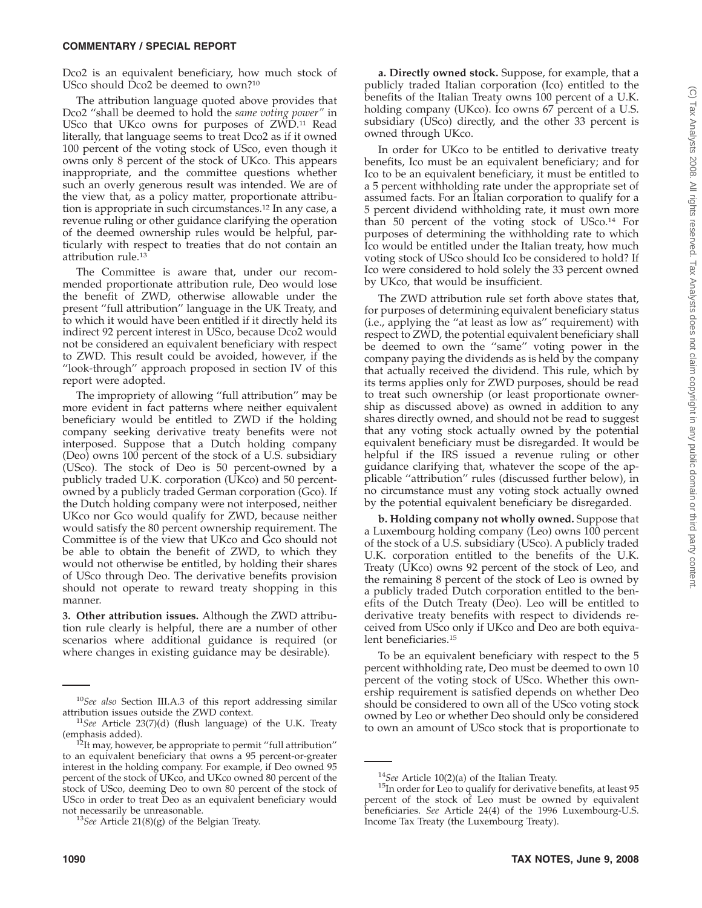Dco2 is an equivalent beneficiary, how much stock of USco should Dco2 be deemed to own?10

The attribution language quoted above provides that Dco2 ''shall be deemed to hold the *same voting power''* in USco that UKco owns for purposes of ZWD.11 Read literally, that language seems to treat Dco2 as if it owned 100 percent of the voting stock of USco, even though it owns only 8 percent of the stock of UKco. This appears inappropriate, and the committee questions whether such an overly generous result was intended. We are of the view that, as a policy matter, proportionate attribution is appropriate in such circumstances.12 In any case, a revenue ruling or other guidance clarifying the operation of the deemed ownership rules would be helpful, particularly with respect to treaties that do not contain an attribution rule.<sup>13</sup>

The Committee is aware that, under our recommended proportionate attribution rule, Deo would lose the benefit of ZWD, otherwise allowable under the present ''full attribution'' language in the UK Treaty, and to which it would have been entitled if it directly held its indirect 92 percent interest in USco, because Dco2 would not be considered an equivalent beneficiary with respect to ZWD. This result could be avoided, however, if the ''look-through'' approach proposed in section IV of this report were adopted.

The impropriety of allowing ''full attribution'' may be more evident in fact patterns where neither equivalent beneficiary would be entitled to ZWD if the holding company seeking derivative treaty benefits were not interposed. Suppose that a Dutch holding company (Deo) owns 100 percent of the stock of a U.S. subsidiary (USco). The stock of Deo is 50 percent-owned by a publicly traded U.K. corporation (UKco) and 50 percentowned by a publicly traded German corporation (Gco). If the Dutch holding company were not interposed, neither UKco nor Gco would qualify for ZWD, because neither would satisfy the 80 percent ownership requirement. The Committee is of the view that UKco and Gco should not be able to obtain the benefit of ZWD, to which they would not otherwise be entitled, by holding their shares of USco through Deo. The derivative benefits provision should not operate to reward treaty shopping in this manner.

**3. Other attribution issues.** Although the ZWD attribution rule clearly is helpful, there are a number of other scenarios where additional guidance is required (or where changes in existing guidance may be desirable).

**a. Directly owned stock.** Suppose, for example, that a publicly traded Italian corporation (Ico) entitled to the benefits of the Italian Treaty owns 100 percent of a U.K. holding company (UKco). Ico owns 67 percent of a U.S. subsidiary (USco) directly, and the other 33 percent is owned through UKco.

In order for UKco to be entitled to derivative treaty benefits, Ico must be an equivalent beneficiary; and for Ico to be an equivalent beneficiary, it must be entitled to a 5 percent withholding rate under the appropriate set of assumed facts. For an Italian corporation to qualify for a 5 percent dividend withholding rate, it must own more than 50 percent of the voting stock of USco.14 For purposes of determining the withholding rate to which Ico would be entitled under the Italian treaty, how much voting stock of USco should Ico be considered to hold? If Ico were considered to hold solely the 33 percent owned by UKco, that would be insufficient.

The ZWD attribution rule set forth above states that, for purposes of determining equivalent beneficiary status (i.e., applying the ''at least as low as'' requirement) with respect to ZWD, the potential equivalent beneficiary shall be deemed to own the ''same'' voting power in the company paying the dividends as is held by the company that actually received the dividend. This rule, which by its terms applies only for ZWD purposes, should be read to treat such ownership (or least proportionate ownership as discussed above) as owned in addition to any shares directly owned, and should not be read to suggest that any voting stock actually owned by the potential equivalent beneficiary must be disregarded. It would be helpful if the IRS issued a revenue ruling or other guidance clarifying that, whatever the scope of the applicable ''attribution'' rules (discussed further below), in no circumstance must any voting stock actually owned by the potential equivalent beneficiary be disregarded.

**b. Holding company not wholly owned.** Suppose that a Luxembourg holding company (Leo) owns 100 percent of the stock of a U.S. subsidiary (USco). A publicly traded U.K. corporation entitled to the benefits of the U.K. Treaty (UKco) owns 92 percent of the stock of Leo, and the remaining 8 percent of the stock of Leo is owned by a publicly traded Dutch corporation entitled to the benefits of the Dutch Treaty (Deo). Leo will be entitled to derivative treaty benefits with respect to dividends received from USco only if UKco and Deo are both equivalent beneficiaries.15

To be an equivalent beneficiary with respect to the 5 percent withholding rate, Deo must be deemed to own 10 percent of the voting stock of USco. Whether this ownership requirement is satisfied depends on whether Deo should be considered to own all of the USco voting stock owned by Leo or whether Deo should only be considered to own an amount of USco stock that is proportionate to

<sup>10</sup>*See also* Section III.A.3 of this report addressing similar

attribution issues outside the ZWD context.<br><sup>11</sup>*See* Article 23(7)(d) (flush language) of the U.K. Treaty (emphasis added).

<sup>&</sup>lt;sup>2</sup>It may, however, be appropriate to permit "full attribution" to an equivalent beneficiary that owns a 95 percent-or-greater interest in the holding company. For example, if Deo owned 95 percent of the stock of UKco, and UKco owned 80 percent of the stock of USco, deeming Deo to own 80 percent of the stock of USco in order to treat Deo as an equivalent beneficiary would not necessarily be unreasonable. <sup>13</sup>*See* Article 21(8)(g) of the Belgian Treaty.

<sup>&</sup>lt;sup>14</sup>*See* Article 10(2)(a) of the Italian Treaty.<br><sup>15</sup>In order for Leo to qualify for derivative benefits, at least 95 percent of the stock of Leo must be owned by equivalent beneficiaries. *See* Article 24(4) of the 1996 Luxembourg-U.S. Income Tax Treaty (the Luxembourg Treaty).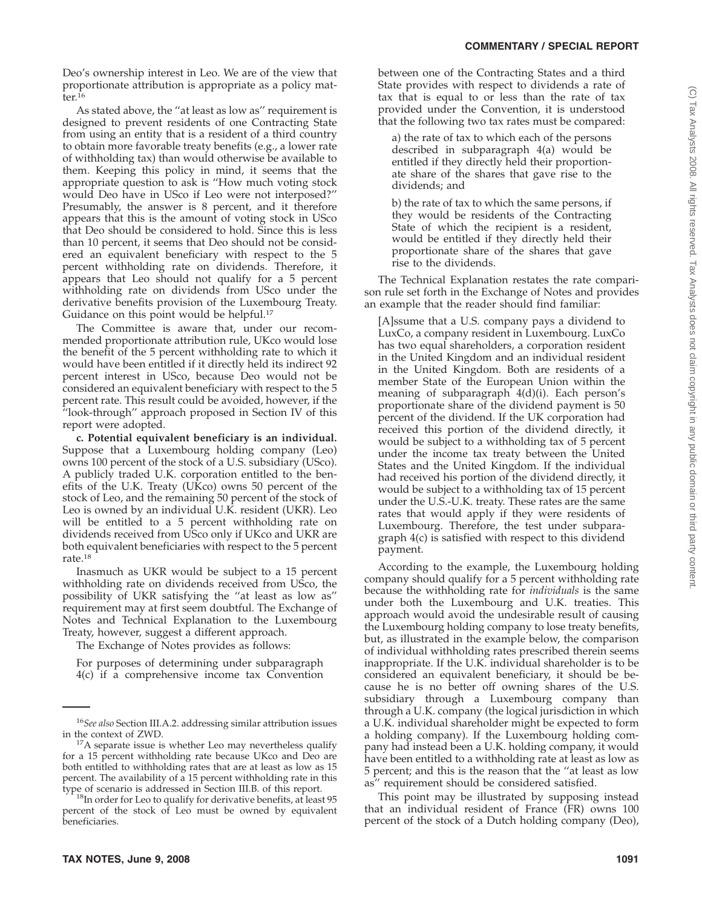Deo's ownership interest in Leo. We are of the view that proportionate attribution is appropriate as a policy matter.16

As stated above, the ''at least as low as'' requirement is designed to prevent residents of one Contracting State from using an entity that is a resident of a third country to obtain more favorable treaty benefits (e.g., a lower rate of withholding tax) than would otherwise be available to them. Keeping this policy in mind, it seems that the appropriate question to ask is ''How much voting stock would Deo have in USco if Leo were not interposed?'' Presumably, the answer is 8 percent, and it therefore appears that this is the amount of voting stock in USco that Deo should be considered to hold. Since this is less than 10 percent, it seems that Deo should not be considered an equivalent beneficiary with respect to the 5 percent withholding rate on dividends. Therefore, it appears that Leo should not qualify for a 5 percent withholding rate on dividends from USco under the derivative benefits provision of the Luxembourg Treaty. Guidance on this point would be helpful.<sup>17</sup>

The Committee is aware that, under our recommended proportionate attribution rule, UKco would lose the benefit of the 5 percent withholding rate to which it would have been entitled if it directly held its indirect 92 percent interest in USco, because Deo would not be considered an equivalent beneficiary with respect to the 5 percent rate. This result could be avoided, however, if the ''look-through'' approach proposed in Section IV of this report were adopted.

**c. Potential equivalent beneficiary is an individual.** Suppose that a Luxembourg holding company (Leo) owns 100 percent of the stock of a U.S. subsidiary (USco). A publicly traded U.K. corporation entitled to the benefits of the U.K. Treaty (UKco) owns 50 percent of the stock of Leo, and the remaining 50 percent of the stock of Leo is owned by an individual U.K. resident (UKR). Leo will be entitled to a 5 percent withholding rate on dividends received from USco only if UKco and UKR are both equivalent beneficiaries with respect to the 5 percent rate.18

Inasmuch as UKR would be subject to a 15 percent withholding rate on dividends received from USco, the possibility of UKR satisfying the ''at least as low as'' requirement may at first seem doubtful. The Exchange of Notes and Technical Explanation to the Luxembourg Treaty, however, suggest a different approach.

The Exchange of Notes provides as follows:

For purposes of determining under subparagraph 4(c) if a comprehensive income tax Convention

 $18$ In order for Leo to qualify for derivative benefits, at least 95 percent of the stock of Leo must be owned by equivalent beneficiaries.

between one of the Contracting States and a third State provides with respect to dividends a rate of tax that is equal to or less than the rate of tax provided under the Convention, it is understood that the following two tax rates must be compared:

a) the rate of tax to which each of the persons described in subparagraph 4(a) would be entitled if they directly held their proportionate share of the shares that gave rise to the dividends; and

b) the rate of tax to which the same persons, if they would be residents of the Contracting State of which the recipient is a resident, would be entitled if they directly held their proportionate share of the shares that gave rise to the dividends.

The Technical Explanation restates the rate comparison rule set forth in the Exchange of Notes and provides an example that the reader should find familiar:

[A]ssume that a U.S. company pays a dividend to LuxCo, a company resident in Luxembourg. LuxCo has two equal shareholders, a corporation resident in the United Kingdom and an individual resident in the United Kingdom. Both are residents of a member State of the European Union within the meaning of subparagraph 4(d)(i). Each person's proportionate share of the dividend payment is 50 percent of the dividend. If the UK corporation had received this portion of the dividend directly, it would be subject to a withholding tax of 5 percent under the income tax treaty between the United States and the United Kingdom. If the individual had received his portion of the dividend directly, it would be subject to a withholding tax of 15 percent under the U.S.-U.K. treaty. These rates are the same rates that would apply if they were residents of Luxembourg. Therefore, the test under subparagraph 4(c) is satisfied with respect to this dividend payment.

According to the example, the Luxembourg holding company should qualify for a 5 percent withholding rate because the withholding rate for *individuals* is the same under both the Luxembourg and U.K. treaties. This approach would avoid the undesirable result of causing the Luxembourg holding company to lose treaty benefits, but, as illustrated in the example below, the comparison of individual withholding rates prescribed therein seems inappropriate. If the U.K. individual shareholder is to be considered an equivalent beneficiary, it should be because he is no better off owning shares of the U.S. subsidiary through a Luxembourg company than through a U.K. company (the logical jurisdiction in which a U.K. individual shareholder might be expected to form a holding company). If the Luxembourg holding company had instead been a U.K. holding company, it would have been entitled to a withholding rate at least as low as 5 percent; and this is the reason that the ''at least as low as'' requirement should be considered satisfied.

This point may be illustrated by supposing instead that an individual resident of France (FR) owns 100 percent of the stock of a Dutch holding company (Deo),

<sup>16</sup>*See also* Section III.A.2. addressing similar attribution issues

in the context of ZWD.<br><sup>17</sup>A separate issue is whether Leo may nevertheless qualify for a 15 percent withholding rate because UKco and Deo are both entitled to withholding rates that are at least as low as 15 percent. The availability of a 15 percent withholding rate in this type of scenario is addressed in Section III.B. of this report.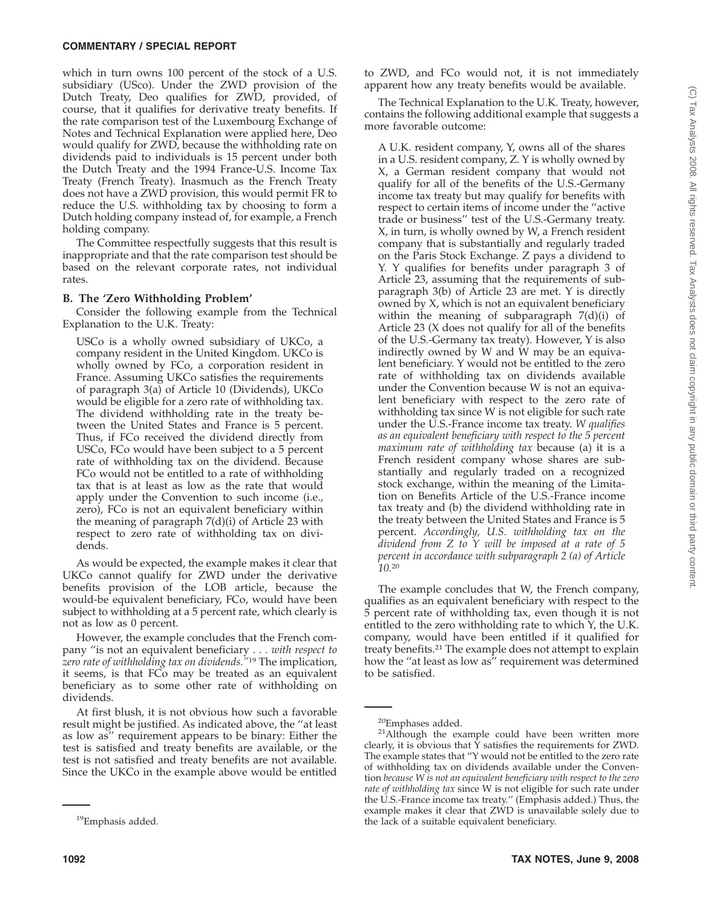which in turn owns 100 percent of the stock of a U.S. subsidiary (USco). Under the ZWD provision of the Dutch Treaty, Deo qualifies for ZWD, provided, of course, that it qualifies for derivative treaty benefits. If the rate comparison test of the Luxembourg Exchange of Notes and Technical Explanation were applied here, Deo would qualify for ZWD, because the withholding rate on dividends paid to individuals is 15 percent under both the Dutch Treaty and the 1994 France-U.S. Income Tax Treaty (French Treaty). Inasmuch as the French Treaty does not have a ZWD provision, this would permit FR to reduce the U.S. withholding tax by choosing to form a Dutch holding company instead of, for example, a French holding company.

The Committee respectfully suggests that this result is inappropriate and that the rate comparison test should be based on the relevant corporate rates, not individual rates.

# **B. The 'Zero Withholding Problem'**

Consider the following example from the Technical Explanation to the U.K. Treaty:

USCo is a wholly owned subsidiary of UKCo, a company resident in the United Kingdom. UKCo is wholly owned by FCo, a corporation resident in France. Assuming UKCo satisfies the requirements of paragraph 3(a) of Article 10 (Dividends), UKCo would be eligible for a zero rate of withholding tax. The dividend withholding rate in the treaty between the United States and France is 5 percent. Thus, if FCo received the dividend directly from USCo, FCo would have been subject to a 5 percent rate of withholding tax on the dividend. Because FCo would not be entitled to a rate of withholding tax that is at least as low as the rate that would apply under the Convention to such income (i.e., zero), FCo is not an equivalent beneficiary within the meaning of paragraph 7(d)(i) of Article 23 with respect to zero rate of withholding tax on dividends.

As would be expected, the example makes it clear that UKCo cannot qualify for ZWD under the derivative benefits provision of the LOB article, because the would-be equivalent beneficiary, FCo, would have been subject to withholding at a 5 percent rate, which clearly is not as low as 0 percent.

However, the example concludes that the French company ''is not an equivalent beneficiary... *with respect to zero rate of withholding tax on dividends.''*<sup>19</sup> The implication, it seems, is that FCo may be treated as an equivalent beneficiary as to some other rate of withholding on dividends.

At first blush, it is not obvious how such a favorable result might be justified. As indicated above, the ''at least as low as'' requirement appears to be binary: Either the test is satisfied and treaty benefits are available, or the test is not satisfied and treaty benefits are not available. Since the UKCo in the example above would be entitled

to ZWD, and FCo would not, it is not immediately apparent how any treaty benefits would be available.

The Technical Explanation to the U.K. Treaty, however, contains the following additional example that suggests a more favorable outcome:

A U.K. resident company, Y, owns all of the shares in a U.S. resident company, Z. Y is wholly owned by X, a German resident company that would not qualify for all of the benefits of the U.S.-Germany income tax treaty but may qualify for benefits with respect to certain items of income under the ''active trade or business'' test of the U.S.-Germany treaty. X, in turn, is wholly owned by W, a French resident company that is substantially and regularly traded on the Paris Stock Exchange. Z pays a dividend to Y. Y qualifies for benefits under paragraph 3 of Article 23, assuming that the requirements of subparagraph 3(b) of Article 23 are met. Y is directly owned by X, which is not an equivalent beneficiary within the meaning of subparagraph 7(d)(i) of Article 23 (X does not qualify for all of the benefits of the U.S.-Germany tax treaty). However, Y is also indirectly owned by W and W may be an equivalent beneficiary. Y would not be entitled to the zero rate of withholding tax on dividends available under the Convention because W is not an equivalent beneficiary with respect to the zero rate of withholding tax since W is not eligible for such rate under the U.S.-France income tax treaty. *W qualifies as an equivalent beneficiary with respect to the 5 percent maximum rate of withholding tax* because (a) it is a French resident company whose shares are substantially and regularly traded on a recognized stock exchange, within the meaning of the Limitation on Benefits Article of the U.S.-France income tax treaty and (b) the dividend withholding rate in the treaty between the United States and France is 5 percent. *Accordingly, U.S. withholding tax on the dividend from Z to Y will be imposed at a rate of 5 percent in accordance with subparagraph 2 (a) of Article 10.*<sup>20</sup>

The example concludes that W, the French company, qualifies as an equivalent beneficiary with respect to the 5 percent rate of withholding tax, even though it is not entitled to the zero withholding rate to which Y, the U.K. company, would have been entitled if it qualified for treaty benefits.21 The example does not attempt to explain how the ''at least as low as'' requirement was determined to be satisfied.

<sup>&</sup>lt;sup>19</sup>Emphasis added.

 $20$ Emphases added.<br><sup>21</sup>Although the example could have been written more clearly, it is obvious that  $\bar{Y}$  satisfies the requirements for ZWD. The example states that ''Y would not be entitled to the zero rate of withholding tax on dividends available under the Convention *because W is not an equivalent beneficiary with respect to the zero rate of withholding tax* since W is not eligible for such rate under the U.S.-France income tax treaty.'' (Emphasis added.) Thus, the example makes it clear that ZWD is unavailable solely due to the lack of a suitable equivalent beneficiary.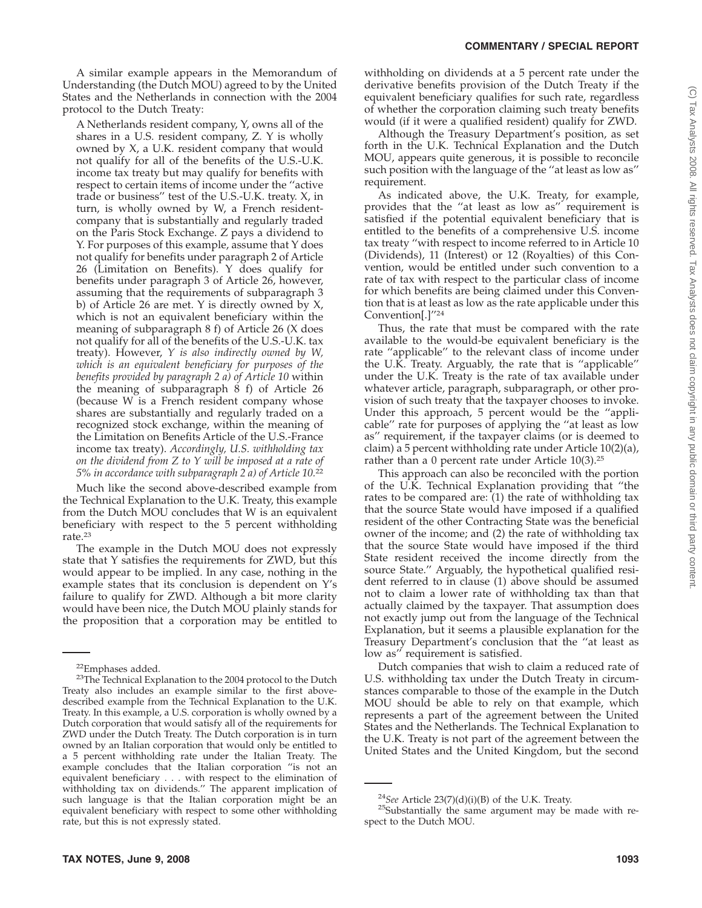A similar example appears in the Memorandum of Understanding (the Dutch MOU) agreed to by the United States and the Netherlands in connection with the 2004 protocol to the Dutch Treaty:

A Netherlands resident company, Y, owns all of the shares in a U.S. resident company, Z. Y is wholly owned by X, a U.K. resident company that would not qualify for all of the benefits of the U.S.-U.K. income tax treaty but may qualify for benefits with respect to certain items of income under the ''active trade or business'' test of the U.S.-U.K. treaty. X, in turn, is wholly owned by W, a French residentcompany that is substantially and regularly traded on the Paris Stock Exchange. Z pays a dividend to Y. For purposes of this example, assume that Y does not qualify for benefits under paragraph 2 of Article 26 (Limitation on Benefits). Y does qualify for benefits under paragraph 3 of Article 26, however, assuming that the requirements of subparagraph 3 b) of Article 26 are met. Y is directly owned by X, which is not an equivalent beneficiary within the meaning of subparagraph 8 f) of Article 26 (X does not qualify for all of the benefits of the U.S.-U.K. tax treaty). However, *Y is also indirectly owned by W, which is an equivalent beneficiary for purposes of the benefits provided by paragraph 2 a) of Article 10* within the meaning of subparagraph 8 f) of Article 26 (because W is a French resident company whose shares are substantially and regularly traded on a recognized stock exchange, within the meaning of the Limitation on Benefits Article of the U.S.-France income tax treaty). *Accordingly, U.S. withholding tax on the dividend from Z to Y will be imposed at a rate of 5% in accordance with subparagraph 2 a) of Article 10.*<sup>22</sup>

Much like the second above-described example from the Technical Explanation to the U.K. Treaty, this example from the Dutch MOU concludes that W is an equivalent beneficiary with respect to the 5 percent withholding rate.23

The example in the Dutch MOU does not expressly state that Y satisfies the requirements for ZWD, but this would appear to be implied. In any case, nothing in the example states that its conclusion is dependent on Y's failure to qualify for ZWD. Although a bit more clarity would have been nice, the Dutch MOU plainly stands for the proposition that a corporation may be entitled to

withholding on dividends at a 5 percent rate under the derivative benefits provision of the Dutch Treaty if the equivalent beneficiary qualifies for such rate, regardless of whether the corporation claiming such treaty benefits would (if it were a qualified resident) qualify for ZWD.

Although the Treasury Department's position, as set forth in the U.K. Technical Explanation and the Dutch MOU, appears quite generous, it is possible to reconcile such position with the language of the ''at least as low as'' requirement.

As indicated above, the U.K. Treaty, for example, provides that the ''at least as low as'' requirement is satisfied if the potential equivalent beneficiary that is entitled to the benefits of a comprehensive U.S. income tax treaty ''with respect to income referred to in Article 10 (Dividends), 11 (Interest) or 12 (Royalties) of this Convention, would be entitled under such convention to a rate of tax with respect to the particular class of income for which benefits are being claimed under this Convention that is at least as low as the rate applicable under this Convention[.]''24

Thus, the rate that must be compared with the rate available to the would-be equivalent beneficiary is the rate ''applicable'' to the relevant class of income under the U.K. Treaty. Arguably, the rate that is ''applicable'' under the U.K. Treaty is the rate of tax available under whatever article, paragraph, subparagraph, or other provision of such treaty that the taxpayer chooses to invoke. Under this approach, 5 percent would be the ''applicable'' rate for purposes of applying the ''at least as low as'' requirement, if the taxpayer claims (or is deemed to claim) a 5 percent withholding rate under Article 10(2)(a), rather than a 0 percent rate under Article 10(3).<sup>25</sup>

This approach can also be reconciled with the portion of the U.K. Technical Explanation providing that ''the rates to be compared are: (1) the rate of withholding tax that the source State would have imposed if a qualified resident of the other Contracting State was the beneficial owner of the income; and (2) the rate of withholding tax that the source State would have imposed if the third State resident received the income directly from the source State.'' Arguably, the hypothetical qualified resident referred to in clause (1) above should be assumed not to claim a lower rate of withholding tax than that actually claimed by the taxpayer. That assumption does not exactly jump out from the language of the Technical Explanation, but it seems a plausible explanation for the Treasury Department's conclusion that the ''at least as low as'' requirement is satisfied.

Dutch companies that wish to claim a reduced rate of U.S. withholding tax under the Dutch Treaty in circumstances comparable to those of the example in the Dutch MOU should be able to rely on that example, which represents a part of the agreement between the United States and the Netherlands. The Technical Explanation to the U.K. Treaty is not part of the agreement between the United States and the United Kingdom, but the second

<sup>&</sup>lt;sup>22</sup>Emphases added.<br><sup>23</sup>The Technical Explanation to the 2004 protocol to the Dutch Treaty also includes an example similar to the first abovedescribed example from the Technical Explanation to the U.K. Treaty. In this example, a U.S. corporation is wholly owned by a Dutch corporation that would satisfy all of the requirements for ZWD under the Dutch Treaty. The Dutch corporation is in turn owned by an Italian corporation that would only be entitled to a 5 percent withholding rate under the Italian Treaty. The example concludes that the Italian corporation ''is not an equivalent beneficiary . . . with respect to the elimination of withholding tax on dividends.'' The apparent implication of such language is that the Italian corporation might be an equivalent beneficiary with respect to some other withholding rate, but this is not expressly stated.

<sup>&</sup>lt;sup>24</sup>*See* Article 23(7)(d)(i)(B) of the U.K. Treaty. <sup>25</sup>Substantially the same argument may be made with respect to the Dutch MOU.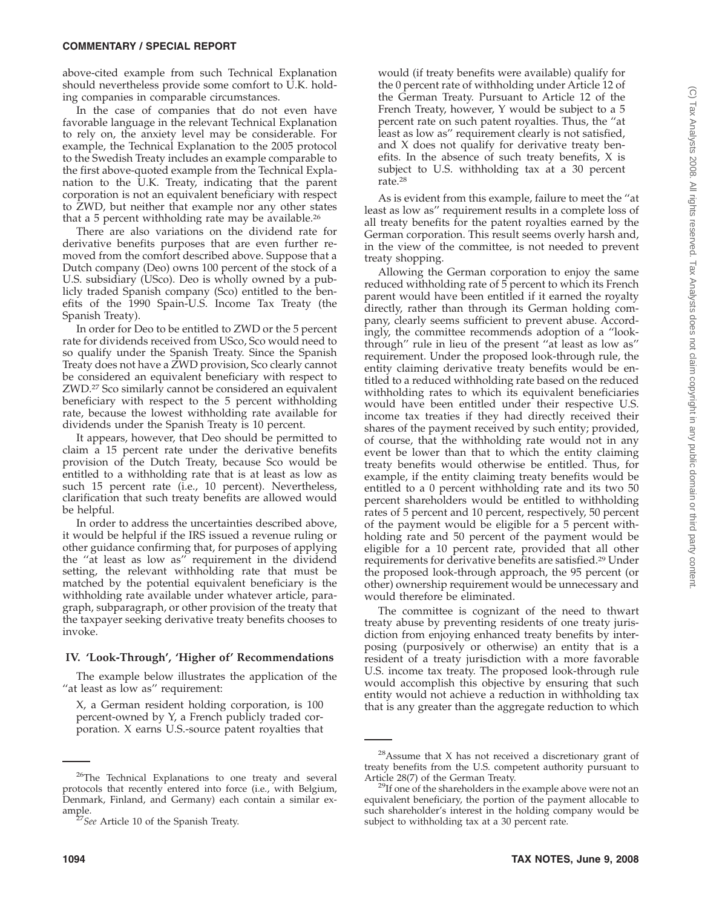above-cited example from such Technical Explanation should nevertheless provide some comfort to U.K. holding companies in comparable circumstances.

In the case of companies that do not even have favorable language in the relevant Technical Explanation to rely on, the anxiety level may be considerable. For example, the Technical Explanation to the 2005 protocol to the Swedish Treaty includes an example comparable to the first above-quoted example from the Technical Explanation to the U.K. Treaty, indicating that the parent corporation is not an equivalent beneficiary with respect to ZWD, but neither that example nor any other states that a 5 percent withholding rate may be available.<sup>26</sup>

There are also variations on the dividend rate for derivative benefits purposes that are even further removed from the comfort described above. Suppose that a Dutch company (Deo) owns 100 percent of the stock of a U.S. subsidiary (USco). Deo is wholly owned by a publicly traded Spanish company (Sco) entitled to the benefits of the 1990 Spain-U.S. Income Tax Treaty (the Spanish Treaty).

In order for Deo to be entitled to ZWD or the 5 percent rate for dividends received from USco, Sco would need to so qualify under the Spanish Treaty. Since the Spanish Treaty does not have a ZWD provision, Sco clearly cannot be considered an equivalent beneficiary with respect to ZWD.27 Sco similarly cannot be considered an equivalent beneficiary with respect to the 5 percent withholding rate, because the lowest withholding rate available for dividends under the Spanish Treaty is 10 percent.

It appears, however, that Deo should be permitted to claim a 15 percent rate under the derivative benefits provision of the Dutch Treaty, because Sco would be entitled to a withholding rate that is at least as low as such 15 percent rate (i.e., 10 percent). Nevertheless, clarification that such treaty benefits are allowed would be helpful.

In order to address the uncertainties described above, it would be helpful if the IRS issued a revenue ruling or other guidance confirming that, for purposes of applying the ''at least as low as'' requirement in the dividend setting, the relevant withholding rate that must be matched by the potential equivalent beneficiary is the withholding rate available under whatever article, paragraph, subparagraph, or other provision of the treaty that the taxpayer seeking derivative treaty benefits chooses to invoke.

## **IV. 'Look-Through', 'Higher of' Recommendations**

The example below illustrates the application of the "at least as low as" requirement:

X, a German resident holding corporation, is 100 percent-owned by Y, a French publicly traded corporation. X earns U.S.-source patent royalties that

would (if treaty benefits were available) qualify for the 0 percent rate of withholding under Article 12 of the German Treaty. Pursuant to Article 12 of the French Treaty, however, Y would be subject to a 5 percent rate on such patent royalties. Thus, the ''at least as low as'' requirement clearly is not satisfied, and X does not qualify for derivative treaty benefits. In the absence of such treaty benefits, X is subject to U.S. withholding tax at a 30 percent rate.28

As is evident from this example, failure to meet the ''at least as low as'' requirement results in a complete loss of all treaty benefits for the patent royalties earned by the German corporation. This result seems overly harsh and, in the view of the committee, is not needed to prevent treaty shopping.

Allowing the German corporation to enjoy the same reduced withholding rate of 5 percent to which its French parent would have been entitled if it earned the royalty directly, rather than through its German holding company, clearly seems sufficient to prevent abuse. Accordingly, the committee recommends adoption of a ''lookthrough'' rule in lieu of the present ''at least as low as'' requirement. Under the proposed look-through rule, the entity claiming derivative treaty benefits would be entitled to a reduced withholding rate based on the reduced withholding rates to which its equivalent beneficiaries would have been entitled under their respective U.S. income tax treaties if they had directly received their shares of the payment received by such entity; provided, of course, that the withholding rate would not in any event be lower than that to which the entity claiming treaty benefits would otherwise be entitled. Thus, for example, if the entity claiming treaty benefits would be entitled to a 0 percent withholding rate and its two 50 percent shareholders would be entitled to withholding rates of 5 percent and 10 percent, respectively, 50 percent of the payment would be eligible for a 5 percent withholding rate and 50 percent of the payment would be eligible for a 10 percent rate, provided that all other requirements for derivative benefits are satisfied.29 Under the proposed look-through approach, the 95 percent (or other) ownership requirement would be unnecessary and would therefore be eliminated.

The committee is cognizant of the need to thwart treaty abuse by preventing residents of one treaty jurisdiction from enjoying enhanced treaty benefits by interposing (purposively or otherwise) an entity that is a resident of a treaty jurisdiction with a more favorable U.S. income tax treaty. The proposed look-through rule would accomplish this objective by ensuring that such entity would not achieve a reduction in withholding tax that is any greater than the aggregate reduction to which

<sup>&</sup>lt;sup>26</sup>The Technical Explanations to one treaty and several protocols that recently entered into force (i.e., with Belgium, Denmark, Finland, and Germany) each contain a similar example.<br><sup>27</sup>*See* Article 10 of the Spanish Treaty.

 $28$ Assume that X has not received a discretionary grant of treaty benefits from the U.S. competent authority pursuant to Article 28(7) of the German Treaty.<br><sup>29</sup>If one of the shareholders in the example above were not an

equivalent beneficiary, the portion of the payment allocable to such shareholder's interest in the holding company would be subject to withholding tax at a 30 percent rate.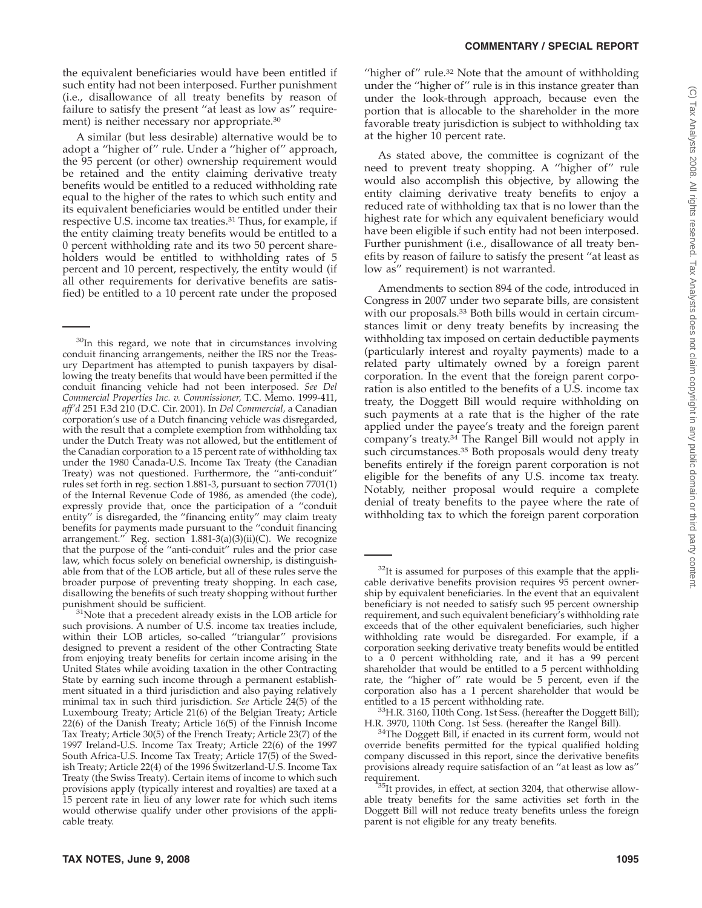the equivalent beneficiaries would have been entitled if such entity had not been interposed. Further punishment (i.e., disallowance of all treaty benefits by reason of failure to satisfy the present ''at least as low as'' requirement) is neither necessary nor appropriate.30

A similar (but less desirable) alternative would be to adopt a ''higher of'' rule. Under a ''higher of'' approach, the 95 percent (or other) ownership requirement would be retained and the entity claiming derivative treaty benefits would be entitled to a reduced withholding rate equal to the higher of the rates to which such entity and its equivalent beneficiaries would be entitled under their respective U.S. income tax treaties.31 Thus, for example, if the entity claiming treaty benefits would be entitled to a 0 percent withholding rate and its two 50 percent shareholders would be entitled to withholding rates of 5 percent and 10 percent, respectively, the entity would (if all other requirements for derivative benefits are satisfied) be entitled to a 10 percent rate under the proposed

<sup>30</sup>In this regard, we note that in circumstances involving conduit financing arrangements, neither the IRS nor the Treasury Department has attempted to punish taxpayers by disallowing the treaty benefits that would have been permitted if the conduit financing vehicle had not been interposed. *See Del Commercial Properties Inc. v. Commissioner,* T.C. Memo. 1999-411, *aff'd* 251 F.3d 210 (D.C. Cir. 2001). In *Del Commercial,* a Canadian corporation's use of a Dutch financing vehicle was disregarded, with the result that a complete exemption from withholding tax under the Dutch Treaty was not allowed, but the entitlement of the Canadian corporation to a 15 percent rate of withholding tax under the 1980 Canada-U.S. Income Tax Treaty (the Canadian Treaty) was not questioned. Furthermore, the ''anti-conduit'' rules set forth in reg. section 1.881-3, pursuant to section 7701(1) of the Internal Revenue Code of 1986, as amended (the code), expressly provide that, once the participation of a ''conduit entity'' is disregarded, the ''financing entity'' may claim treaty benefits for payments made pursuant to the ''conduit financing arrangement.'' Reg. section 1.881-3(a)(3)(ii)(C). We recognize that the purpose of the ''anti-conduit'' rules and the prior case law, which focus solely on beneficial ownership, is distinguishable from that of the LOB article, but all of these rules serve the broader purpose of preventing treaty shopping. In each case, disallowing the benefits of such treaty shopping without further punishment should be sufficient.<br><sup>31</sup>Note that a precedent already exists in the LOB article for

such provisions. A number of U.S. income tax treaties include, within their LOB articles, so-called ''triangular'' provisions designed to prevent a resident of the other Contracting State from enjoying treaty benefits for certain income arising in the United States while avoiding taxation in the other Contracting State by earning such income through a permanent establishment situated in a third jurisdiction and also paying relatively minimal tax in such third jurisdiction. *See* Article 24(5) of the Luxembourg Treaty; Article 21(6) of the Belgian Treaty; Article 22(6) of the Danish Treaty; Article 16(5) of the Finnish Income Tax Treaty; Article 30(5) of the French Treaty; Article 23(7) of the 1997 Ireland-U.S. Income Tax Treaty; Article 22(6) of the 1997 South Africa-U.S. Income Tax Treaty; Article 17(5) of the Swedish Treaty; Article 22(4) of the 1996 Switzerland-U.S. Income Tax Treaty (the Swiss Treaty). Certain items of income to which such provisions apply (typically interest and royalties) are taxed at a 15 percent rate in lieu of any lower rate for which such items would otherwise qualify under other provisions of the applicable treaty.

As stated above, the committee is cognizant of the need to prevent treaty shopping. A ''higher of'' rule would also accomplish this objective, by allowing the entity claiming derivative treaty benefits to enjoy a reduced rate of withholding tax that is no lower than the highest rate for which any equivalent beneficiary would have been eligible if such entity had not been interposed. Further punishment (i.e., disallowance of all treaty benefits by reason of failure to satisfy the present ''at least as low as'' requirement) is not warranted.

Amendments to section 894 of the code, introduced in Congress in 2007 under two separate bills, are consistent with our proposals.33 Both bills would in certain circumstances limit or deny treaty benefits by increasing the withholding tax imposed on certain deductible payments (particularly interest and royalty payments) made to a related party ultimately owned by a foreign parent corporation. In the event that the foreign parent corporation is also entitled to the benefits of a U.S. income tax treaty, the Doggett Bill would require withholding on such payments at a rate that is the higher of the rate applied under the payee's treaty and the foreign parent company's treaty.34 The Rangel Bill would not apply in such circumstances.<sup>35</sup> Both proposals would deny treaty benefits entirely if the foreign parent corporation is not eligible for the benefits of any U.S. income tax treaty. Notably, neither proposal would require a complete denial of treaty benefits to the payee where the rate of withholding tax to which the foreign parent corporation

 $32$ It is assumed for purposes of this example that the applicable derivative benefits provision requires 95 percent ownership by equivalent beneficiaries. In the event that an equivalent beneficiary is not needed to satisfy such 95 percent ownership requirement, and such equivalent beneficiary's withholding rate exceeds that of the other equivalent beneficiaries, such higher withholding rate would be disregarded. For example, if a corporation seeking derivative treaty benefits would be entitled to a 0 percent withholding rate, and it has a 99 percent shareholder that would be entitled to a 5 percent withholding rate, the "higher of" rate would be 5 percent, even if the corporation also has a 1 percent shareholder that would be

<sup>&</sup>lt;sup>33</sup>H.R. 3160, 110th Cong. 1st Sess. (hereafter the Doggett Bill);<br>H.R. 3970, 110th Cong. 1st Sess. (hereafter the Rangel Bill).

<sup>&</sup>lt;sup>34</sup>The Doggett Bill, if enacted in its current form, would not override benefits permitted for the typical qualified holding company discussed in this report, since the derivative benefits provisions already require satisfaction of an ''at least as low as'' requirement.<br><sup>35</sup>It provides, in effect, at section 3204, that otherwise allow-

able treaty benefits for the same activities set forth in the Doggett Bill will not reduce treaty benefits unless the foreign parent is not eligible for any treaty benefits.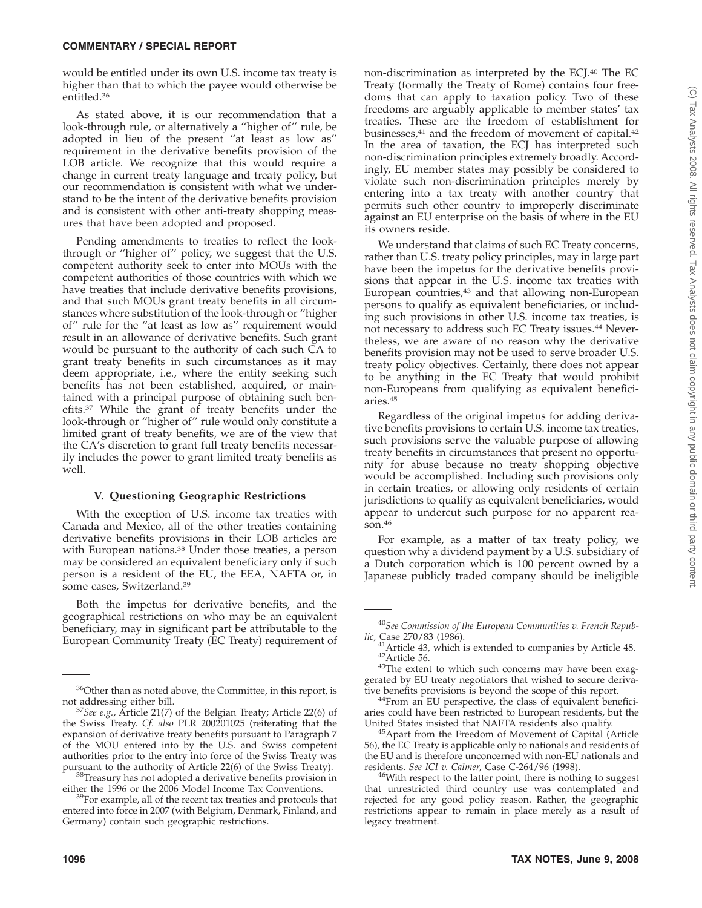would be entitled under its own U.S. income tax treaty is higher than that to which the payee would otherwise be entitled.36

As stated above, it is our recommendation that a look-through rule, or alternatively a ''higher of'' rule, be adopted in lieu of the present ''at least as low as'' requirement in the derivative benefits provision of the LOB article. We recognize that this would require a change in current treaty language and treaty policy, but our recommendation is consistent with what we understand to be the intent of the derivative benefits provision and is consistent with other anti-treaty shopping measures that have been adopted and proposed.

Pending amendments to treaties to reflect the lookthrough or ''higher of'' policy, we suggest that the U.S. competent authority seek to enter into MOUs with the competent authorities of those countries with which we have treaties that include derivative benefits provisions, and that such MOUs grant treaty benefits in all circumstances where substitution of the look-through or ''higher of'' rule for the ''at least as low as'' requirement would result in an allowance of derivative benefits. Such grant would be pursuant to the authority of each such CA to grant treaty benefits in such circumstances as it may deem appropriate, i.e., where the entity seeking such benefits has not been established, acquired, or maintained with a principal purpose of obtaining such benefits.37 While the grant of treaty benefits under the look-through or ''higher of'' rule would only constitute a limited grant of treaty benefits, we are of the view that the CA's discretion to grant full treaty benefits necessarily includes the power to grant limited treaty benefits as well.

## **V. Questioning Geographic Restrictions**

With the exception of U.S. income tax treaties with Canada and Mexico, all of the other treaties containing derivative benefits provisions in their LOB articles are with European nations.<sup>38</sup> Under those treaties, a person may be considered an equivalent beneficiary only if such person is a resident of the EU, the EEA, NAFTA or, in some cases, Switzerland.39

Both the impetus for derivative benefits, and the geographical restrictions on who may be an equivalent beneficiary, may in significant part be attributable to the European Community Treaty (EC Treaty) requirement of

either the 1996 or the 2006 Model Income Tax Conventions.<br><sup>39</sup>For example, all of the recent tax treaties and protocols that

entered into force in 2007 (with Belgium, Denmark, Finland, and Germany) contain such geographic restrictions.

non-discrimination as interpreted by the ECJ.40 The EC Treaty (formally the Treaty of Rome) contains four freedoms that can apply to taxation policy. Two of these freedoms are arguably applicable to member states' tax treaties. These are the freedom of establishment for businesses,<sup>41</sup> and the freedom of movement of capital.<sup>42</sup> In the area of taxation, the ECJ has interpreted such non-discrimination principles extremely broadly. Accordingly, EU member states may possibly be considered to violate such non-discrimination principles merely by entering into a tax treaty with another country that permits such other country to improperly discriminate against an EU enterprise on the basis of where in the EU its owners reside.

We understand that claims of such EC Treaty concerns, rather than U.S. treaty policy principles, may in large part have been the impetus for the derivative benefits provisions that appear in the U.S. income tax treaties with European countries,<sup>43</sup> and that allowing non-European persons to qualify as equivalent beneficiaries, or including such provisions in other U.S. income tax treaties, is not necessary to address such EC Treaty issues.44 Nevertheless, we are aware of no reason why the derivative benefits provision may not be used to serve broader U.S. treaty policy objectives. Certainly, there does not appear to be anything in the EC Treaty that would prohibit non-Europeans from qualifying as equivalent beneficiaries.45

Regardless of the original impetus for adding derivative benefits provisions to certain U.S. income tax treaties, such provisions serve the valuable purpose of allowing treaty benefits in circumstances that present no opportunity for abuse because no treaty shopping objective would be accomplished. Including such provisions only in certain treaties, or allowing only residents of certain jurisdictions to qualify as equivalent beneficiaries, would appear to undercut such purpose for no apparent reason.46

For example, as a matter of tax treaty policy, we question why a dividend payment by a U.S. subsidiary of a Dutch corporation which is 100 percent owned by a Japanese publicly traded company should be ineligible

 $36$ Other than as noted above, the Committee, in this report, is not addressing either bill.

<sup>&</sup>lt;sup>37</sup>See e.g., Article 21(7) of the Belgian Treaty; Article 22(6) of the Swiss Treaty. *Cf. also* PLR 200201025 (reiterating that the expansion of derivative treaty benefits pursuant to Paragraph 7 of the MOU entered into by the U.S. and Swiss competent authorities prior to the entry into force of the Swiss Treaty was  $38$ Treasury has not adopted a derivative benefits provision in

<sup>40</sup>*See Commission of the European Communities v. French Republic,* Case 270/83 (1986).<br><sup>41</sup> Article 43, which is extended to companies by Article 48.

 $42$ Article 56.  $43$ The extent to which such concerns may have been exag-

gerated by EU treaty negotiators that wished to secure deriva-

tive benefits provisions is beyond the scope of this report. 44From an EU perspective, the class of equivalent beneficiaries could have been restricted to European residents, but the United States insisted that NAFTA residents also qualify.

<sup>&</sup>lt;sup>45</sup> Apart from the Freedom of Movement of Capital (Article 56), the EC Treaty is applicable only to nationals and residents of the EU and is therefore unconcerned with non-EU nationals and residents. See ICI v. Calmer, Case C-264/96 (1998).

<sup>&</sup>lt;sup>46</sup>With respect to the latter point, there is nothing to suggest that unrestricted third country use was contemplated and rejected for any good policy reason. Rather, the geographic restrictions appear to remain in place merely as a result of legacy treatment.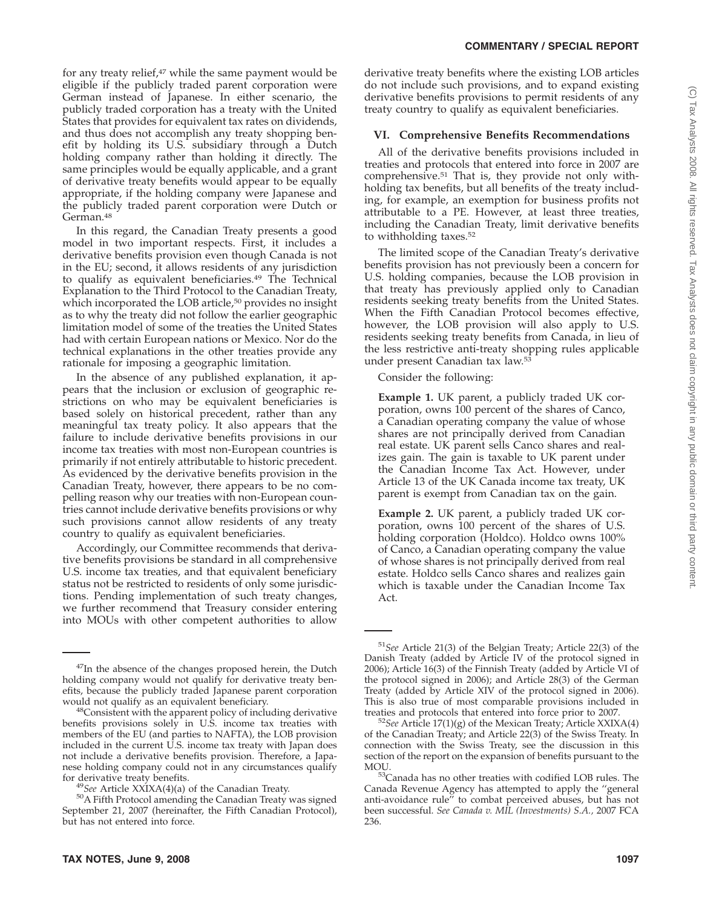for any treaty relief,<sup>47</sup> while the same payment would be eligible if the publicly traded parent corporation were German instead of Japanese. In either scenario, the publicly traded corporation has a treaty with the United States that provides for equivalent tax rates on dividends, and thus does not accomplish any treaty shopping benefit by holding its U.S. subsidiary through a Dutch holding company rather than holding it directly. The same principles would be equally applicable, and a grant of derivative treaty benefits would appear to be equally appropriate, if the holding company were Japanese and the publicly traded parent corporation were Dutch or German.48

In this regard, the Canadian Treaty presents a good model in two important respects. First, it includes a derivative benefits provision even though Canada is not in the EU; second, it allows residents of any jurisdiction to qualify as equivalent beneficiaries.<sup>49</sup> The Technical Explanation to the Third Protocol to the Canadian Treaty, which incorporated the LOB article,<sup>50</sup> provides no insight as to why the treaty did not follow the earlier geographic limitation model of some of the treaties the United States had with certain European nations or Mexico. Nor do the technical explanations in the other treaties provide any rationale for imposing a geographic limitation.

In the absence of any published explanation, it appears that the inclusion or exclusion of geographic restrictions on who may be equivalent beneficiaries is based solely on historical precedent, rather than any meaningful tax treaty policy. It also appears that the failure to include derivative benefits provisions in our income tax treaties with most non-European countries is primarily if not entirely attributable to historic precedent. As evidenced by the derivative benefits provision in the Canadian Treaty, however, there appears to be no compelling reason why our treaties with non-European countries cannot include derivative benefits provisions or why such provisions cannot allow residents of any treaty country to qualify as equivalent beneficiaries.

Accordingly, our Committee recommends that derivative benefits provisions be standard in all comprehensive U.S. income tax treaties, and that equivalent beneficiary status not be restricted to residents of only some jurisdictions. Pending implementation of such treaty changes, we further recommend that Treasury consider entering into MOUs with other competent authorities to allow

derivative treaty benefits where the existing LOB articles do not include such provisions, and to expand existing derivative benefits provisions to permit residents of any treaty country to qualify as equivalent beneficiaries.

#### **VI. Comprehensive Benefits Recommendations**

All of the derivative benefits provisions included in treaties and protocols that entered into force in 2007 are comprehensive.51 That is, they provide not only withholding tax benefits, but all benefits of the treaty including, for example, an exemption for business profits not attributable to a PE. However, at least three treaties, including the Canadian Treaty, limit derivative benefits to withholding taxes.52

The limited scope of the Canadian Treaty's derivative benefits provision has not previously been a concern for U.S. holding companies, because the LOB provision in that treaty has previously applied only to Canadian residents seeking treaty benefits from the United States. When the Fifth Canadian Protocol becomes effective, however, the LOB provision will also apply to U.S. residents seeking treaty benefits from Canada, in lieu of the less restrictive anti-treaty shopping rules applicable under present Canadian tax law.53

Consider the following:

**Example 1.** UK parent, a publicly traded UK corporation, owns 100 percent of the shares of Canco, a Canadian operating company the value of whose shares are not principally derived from Canadian real estate. UK parent sells Canco shares and realizes gain. The gain is taxable to UK parent under the Canadian Income Tax Act. However, under Article 13 of the UK Canada income tax treaty, UK parent is exempt from Canadian tax on the gain.

**Example 2.** UK parent, a publicly traded UK corporation, owns 100 percent of the shares of U.S. holding corporation (Holdco). Holdco owns 100% of Canco, a Canadian operating company the value of whose shares is not principally derived from real estate. Holdco sells Canco shares and realizes gain which is taxable under the Canadian Income Tax Act.

<sup>&</sup>lt;sup>47</sup>In the absence of the changes proposed herein, the Dutch holding company would not qualify for derivative treaty benefits, because the publicly traded Japanese parent corporation would not qualify as an equivalent beneficiary.

 $48$ Consistent with the apparent policy of including derivative benefits provisions solely in U.S. income tax treaties with members of the EU (and parties to NAFTA), the LOB provision included in the current U.S. income tax treaty with Japan does not include a derivative benefits provision. Therefore, a Japanese holding company could not in any circumstances qualify

for derivative treaty benefits.<br><sup>49</sup>*See* Article XXIXA(4)(a) of the Canadian Treaty.<br><sup>50</sup>A Fifth Protocol amending the Canadian Treaty was signed September 21, 2007 (hereinafter, the Fifth Canadian Protocol), but has not entered into force.

<sup>51</sup>*See* Article 21(3) of the Belgian Treaty; Article 22(3) of the Danish Treaty (added by Article IV of the protocol signed in 2006); Article 16(3) of the Finnish Treaty (added by Article VI of the protocol signed in 2006); and Article 28(3) of the German Treaty (added by Article XIV of the protocol signed in 2006). This is also true of most comparable provisions included in treaties and protocols that entered into force prior to 2007. <sup>52</sup>*See* Article 17(1)(g) of the Mexican Treaty; Article XXIXA(4)

of the Canadian Treaty; and Article 22(3) of the Swiss Treaty. In connection with the Swiss Treaty, see the discussion in this section of the report on the expansion of benefits pursuant to the

MOU.<br><sup>53</sup>Canada has no other treaties with codified LOB rules. The Canada Revenue Agency has attempted to apply the ''general anti-avoidance rule'' to combat perceived abuses, but has not been successful. *See Canada v. MIL (Investments) S.A.,* 2007 FCA 236.